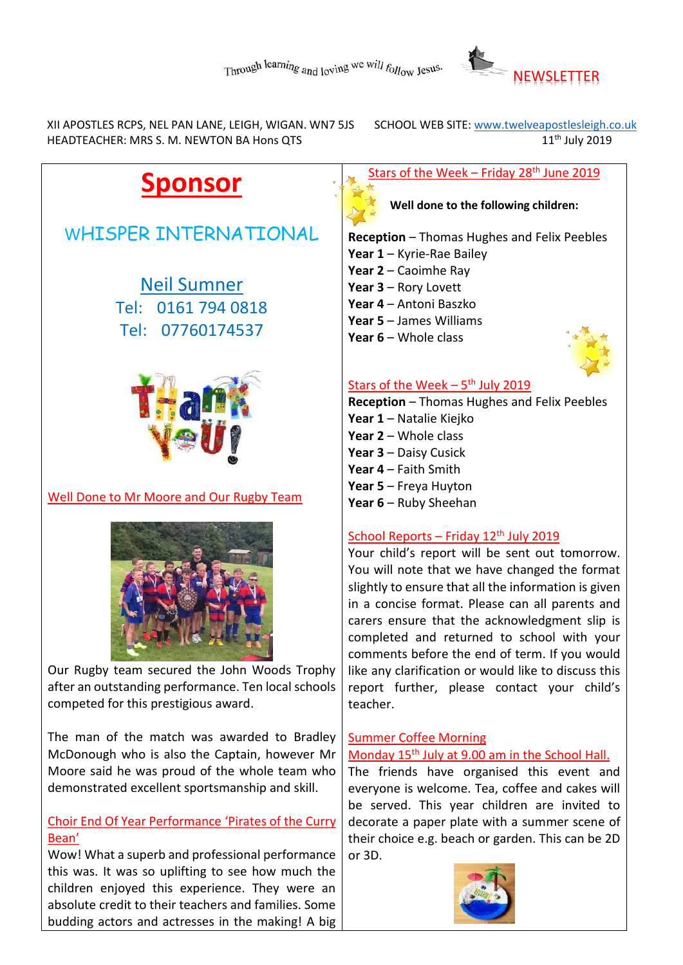

XII APOSTLES RCPS, NEL PAN LANE, LEIGH, WIGAN. WN7 5JS SCHOOL WEB SITE: www.twelveapostlesleigh.co.uk HEADTEACHER: MRS S. M. NEWTON BA Hons QTS **11th July 2019 11th July 2019** 

# **Sponsor**

# WHISPER INTERNATIONAL

Neil Sumner Tel: 0161 794 0818 Tel: 07760174537



#### Well Done to Mr Moore and Our Rugby Team



Our Rugby team secured the John Woods Trophy after an outstanding performance. Ten local schools competed for this prestigious award.

The man of the match was awarded to Bradley McDonough who is also the Captain, however Mr Moore said he was proud of the whole team who demonstrated excellent sportsmanship and skill.

### Choir End Of Year Performance 'Pirates of the Curry Bean'

Wow! What a superb and professional performance this was. It was so uplifting to see how much the children enjoyed this experience. They were an absolute credit to their teachers and families. Some budding actors and actresses in the making! A big Stars of the Week – Friday 28<sup>th</sup> June 2019

**Well done to the following children:**

**Reception** – Thomas Hughes and Felix Peebles **Year 1** – Kyrie-Rae Bailey

- **Year 2** Caoimhe Ray
- **Year 3** Rory Lovett
- **Year 4** Antoni Baszko
- **Year 5** James Williams
- **Year 6** Whole class



#### Stars of the Week – 5<sup>th</sup> July 2019

**Reception** – Thomas Hughes and Felix Peebles **Year 1** – Natalie Kiejko **Year 2** – Whole class **Year 3** – Daisy Cusick **Year 4** – Faith Smith **Year 5** – Freya Huyton **Year 6** – Ruby Sheehan

#### School Reports – Friday  $12<sup>th</sup>$  July 2019

Your child's report will be sent out tomorrow. You will note that we have changed the format slightly to ensure that all the information is given in a concise format. Please can all parents and carers ensure that the acknowledgment slip is completed and returned to school with your comments before the end of term. If you would like any clarification or would like to discuss this report further, please contact your child's teacher.

#### Summer Coffee Morning Monday 15<sup>th</sup> July at 9.00 am in the School Hall.

The friends have organised this event and everyone is welcome. Tea, coffee and cakes will be served. This year children are invited to decorate a paper plate with a summer scene of their choice e.g. beach or garden. This can be 2D or 3D.

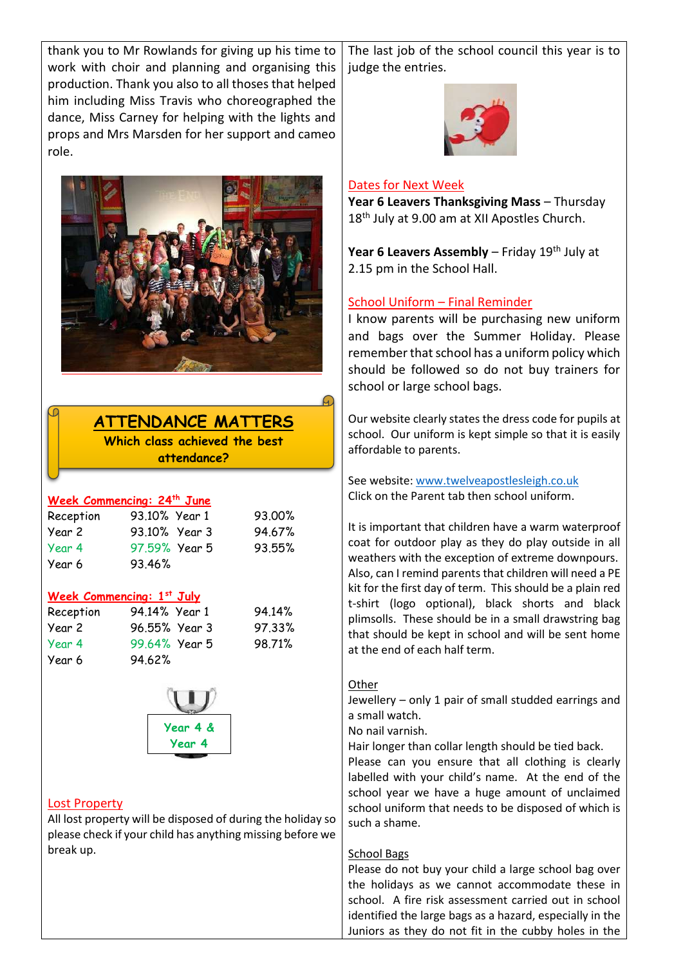thank you to Mr Rowlands for giving up his time to work with choir and planning and organising this production. Thank you also to all thoses that helped him including Miss Travis who choreographed the dance, Miss Carney for helping with the lights and props and Mrs Marsden for her support and cameo role.



## **ATTENDANCE MATTERS Which class achieved the best attendance?**

#### **Week Commencing: 24th June**

| Reception | 93.10% Year 1 | 93.00% |
|-----------|---------------|--------|
| Year 2    | 93.10% Year 3 | 94.67% |
| Year 4    | 97.59% Year 5 | 93.55% |
| Year 6    | 93.46%        |        |

#### **Week Commencing: 1 st July**

| Reception | 94.14% Year 1    | 94.14% |
|-----------|------------------|--------|
| Year 2    | 96.55% Year 3    | 97.33% |
| Year 4    | $99.64\%$ Year 5 | 98.71% |
| Year 6    | 94.62%           |        |



#### Lost Property

All lost property will be disposed of during the holiday so please check if your child has anything missing before we break up.

The last job of the school council this year is to judge the entries.



#### Dates for Next Week

**Year 6 Leavers Thanksgiving Mass** – Thursday 18<sup>th</sup> July at 9.00 am at XII Apostles Church.

**Year 6 Leavers Assembly** – Friday 19<sup>th</sup> July at 2.15 pm in the School Hall.

#### School Uniform – Final Reminder

I know parents will be purchasing new uniform and bags over the Summer Holiday. Please remember that school has a uniform policy which should be followed so do not buy trainers for school or large school bags.

Our website clearly states the dress code for pupils at school. Our uniform is kept simple so that it is easily affordable to parents.

See website[: www.twelveapostlesleigh.co.uk](http://www.twelveapostlesleigh.co.uk/) Click on the Parent tab then school uniform.

It is important that children have a warm waterproof coat for outdoor play as they do play outside in all weathers with the exception of extreme downpours. Also, can I remind parents that children will need a PE kit for the first day of term. This should be a plain red t-shirt (logo optional), black shorts and black plimsolls. These should be in a small drawstring bag that should be kept in school and will be sent home at the end of each half term.

#### **Other**

Jewellery – only 1 pair of small studded earrings and a small watch.

No nail varnish.

Hair longer than collar length should be tied back.

Please can you ensure that all clothing is clearly labelled with your child's name. At the end of the school year we have a huge amount of unclaimed school uniform that needs to be disposed of which is such a shame.

#### School Bags

Please do not buy your child a large school bag over the holidays as we cannot accommodate these in school. A fire risk assessment carried out in school identified the large bags as a hazard, especially in the Juniors as they do not fit in the cubby holes in the